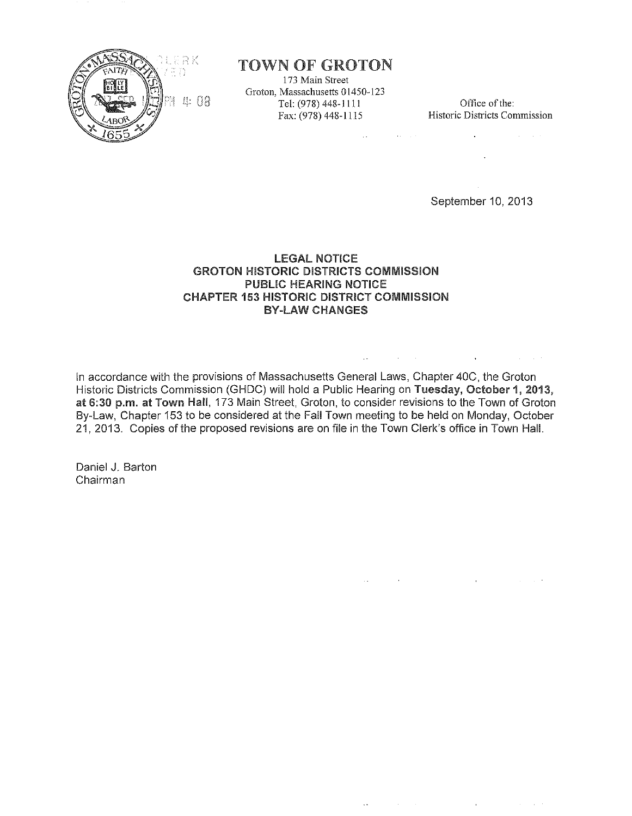

# TOWN OF GROTON

173 Main Street Groton, Massachusetts 01450-123 Tel: (978) 448-1111 Office of the:<br>Fax: (978) 448-1115 Historic Districts Con

and the state of the state of

 $\mathcal{L}_{\rm{max}}$  ,  $\mathcal{L}_{\rm{max}}$ 

**Historic Districts Commission** 

 $\sim 10^{-11}$ 

 $\bullet$  . The second constraints of  $\mathcal{O}(\mathbb{R}^d)$ 

September 10, 2013

# LEGAL NOTICE GROTON HISTORIC DISTRICTS COMMISSION PUBLIC HEARING NOTICE CHAPTER 153 HISTORIC DISTRICT COMMISSION BY-LAW CHANGES

In accordance with the provisions of Massachusetts General Laws, Chapter 40C, the Groton Historic Districts Commission (GHDC) will hold a Public Hearing on Tuesday, October 1, 2013, at 6:30 p.m. at Town Hall, 173 Main Street, Groton, to consider revisions to the Town of Groton By-Law, Chapter 153 to be considered at the Fall Town meeting to be held on Monday, October 21, 2013. Copies of the proposed revisions are on file in the Town Clerk's office in Town Hall.

Daniel J. Barton Chairman

> $\mathcal{L}_{\text{max}}$  $\mathcal{L}_{\text{max}}$  , where  $\mathcal{L}_{\text{max}}$  $\mathbf{r}$ and the state of the

the control of the control of the control of the control of the control of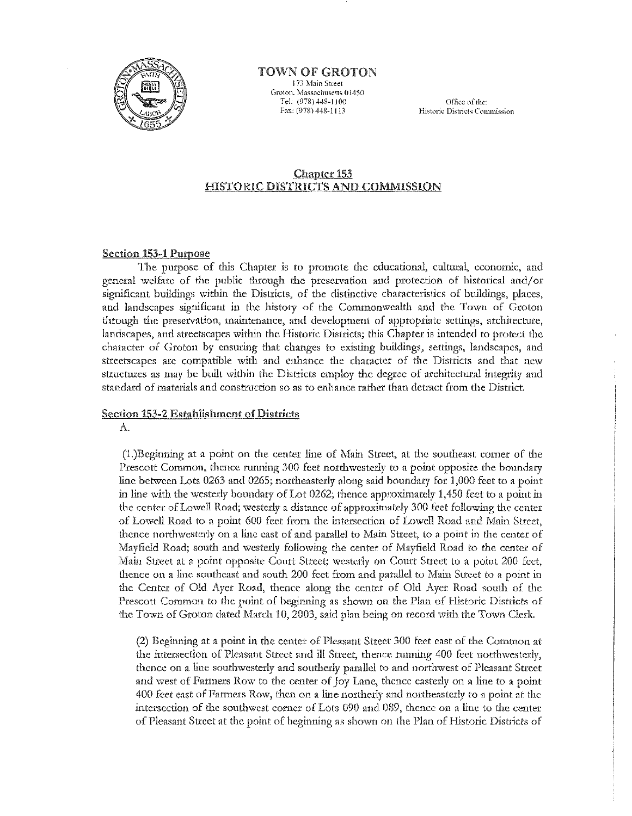

## TOWN OF GROTON

173 Main Street Groton, Massachusetts 01450 Tel: (978) 448-1100 Fax: (978) 448-1113

Office of the: Historic Districts Commission

## **Chapter 153 HISTORIC DISTRICTS AND COMMISSION**

## **Section 153-1 Purpose**

The purpose of this Chapter is to promote the educational, cultural, economic, and general welfare of the public through the preservation and protection of historical and/or significant buildings within the Districts, of the distinctive characteristics of buildings, places, and landscapes significant in the history of the Commonwealth and the Town of Groton through the preservation, maintenance, and development of appropriate settings, architecture, landscapes, and streetscapes within the Historic Districts; this Chapter is intended to protect the character of Groton by ensuring that changes to existing buildings, settings, landscapes, and streetscapes are compatible with and enhance the character of the Districts and that new structures as may be built within the Districts employ the degree of architectural integrity and standard of materials and construction so as to enhance rather than detract from the District.

#### **Section 153-2 Establishment of Districts**

 $\Lambda$ .

(1.)Beginning at a point on the center line of Main Street, at the southeast corner of the Prescott Common, thence running 300 feet northwesterly to a point opposite the boundary line between Lots 0263 and 0265; northeasterly along said boundary for 1,000 feet to a point in line with the westerly boundary of Lot 0262; thence approximately 1,450 feet to a point in the center of Lowell Road; westerly a distance of approximately 300 feet following the center of Lowell Road to a point 600 feet from the intersection of Lowell Road and Main Street, thence northwesterly on a line east of and parallel to Main Street, to a point in the center of Mayfield Road; south and westerly following the center of Mayfield Road to the center of Main Street at a point opposite Court Street; westerly on Court Street to a point 200 feet, thence on a line southeast and south 200 feet from and parallel to Main Street to a point in the Center of Old Ayer Road, thence along the center of Old Ayer Road south of the Prescott Common to the point of beginning as shown on the Plan of Historic Districts of the Town of Groton dated March 10, 2003, said plan being on record with the Town Clerk.

(2) Beginning at a point in the center of Pleasant Street 300 feet east of the Common at the intersection of Pleasant Street and ill Street, thence running 400 feet northwesterly, thence on a line southwesterly and southerly parallel to and northwest of Pleasant Street and west of Farmers Row to the center of Joy Lane, thence easterly on a line to a point 400 feet east of Farmers Row, then on a line northerly and northeasterly to a point at the intersection of the southwest corner of Lots 090 and 089, thence on a line to the center of Pleasant Street at the point of beginning as shown on the Plan of Historic Districts of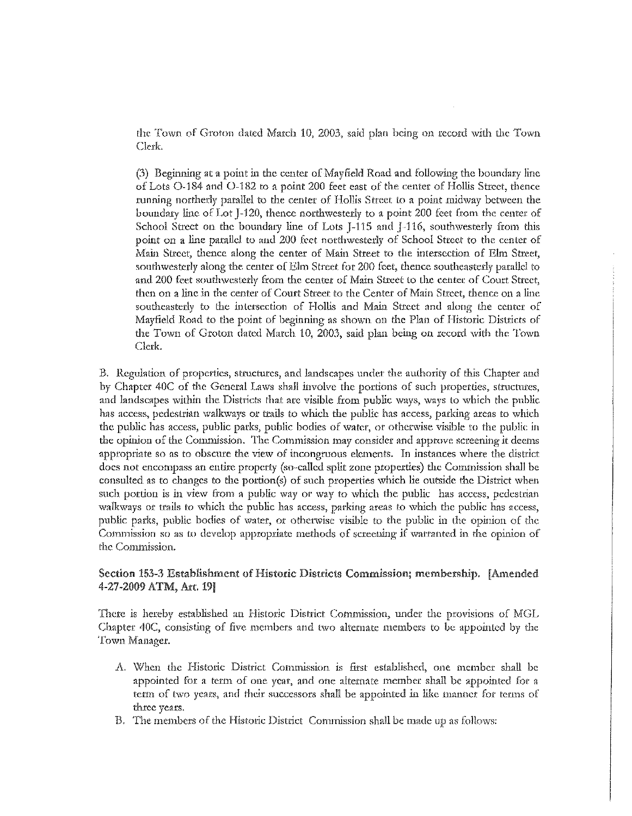the Town of Groton dated March 10, 2003, said plan being on record with the Town Clerk.

(3) Beginning at a point in the center of Mayfield Road and following the boundary line of Lots O-184 and O-182 to a point 200 feet east of the center of Hollis Street, thence running northerly parallel to the center of Hollis Street to a point midway between the boundary line of Lot J-120, thence northwesterly to a point 200 feet from the center of School Street on the boundary line of Lots J-115 and J-116, southwesterly from this point on a line parallel to and 200 feet northwesterly of School Street to the center of Main Street, thence along the center of Main Street to the intersection of Elm Street, southwesterly along the center of Elm Street for 200 feet, thence southeasterly parallel to and 200 feet southwesterly from the center of Main Street to the center of Court Street, **then on a line in the center of Court Street to the Center of Main Street, thence on a line** southeasterly to the intersection of Hollis and Main Street and along the center of Mayfield Road to the point of beginning as shown on the Plan of Historic Districts of the Town of Groton dated March 10, 2003, said plan being on record with the Town Clerk.

B. Regulation of properties, structures, and landscapes under the authority of this Chapter and by Chapter 40C of the General Laws shall involve the portions of such properties, structures, and landscapes within the Districts that are visible from public ways, ways to which the public has access, pedestrian walkways or trails to which the public has access, parking areas to which the public has access, public parks, public bodies of water, or otherwise visible to the public in the opinion of the Commission. The Commission may consider and approve screening it deems appropriate so as to obscure the view of incongruous elements. In instances where the district docs not encompass an entire property (so-called split zone properties) the Commission shall be consulted as to changes to the portion(s) of such properties which lie outside the District wben such portion is in view from a public way or way to which the public has access, pedestrian walkways or trails to which the public has access, parking areas to which the public has access, public parks, public bodies of water, or otherwise visible to the public in the opinion of the Commission so as to develop appropriate methods of screening if warranted in the opinion of the Commission.

# Section 153-3 Establishment of Historic Districts Commission; membership. [Amended 4-27-2009 ATM, Art. 19!

There is hereby established an Historic District Commission, under the provisions of MGL Chapter 40C, consisting of five members and two alternate members to be appointed by the Town Manager.

- A. \'(!hen the Historic District Commission is first established, one member shall be appointed for a term of one year, and one altenutc member shall be appointed fot a **term** of two years, and their successors shall be appointed in like manner for terms of **three years.**
- B. The members of the Historic District Commission shall be made up as follows: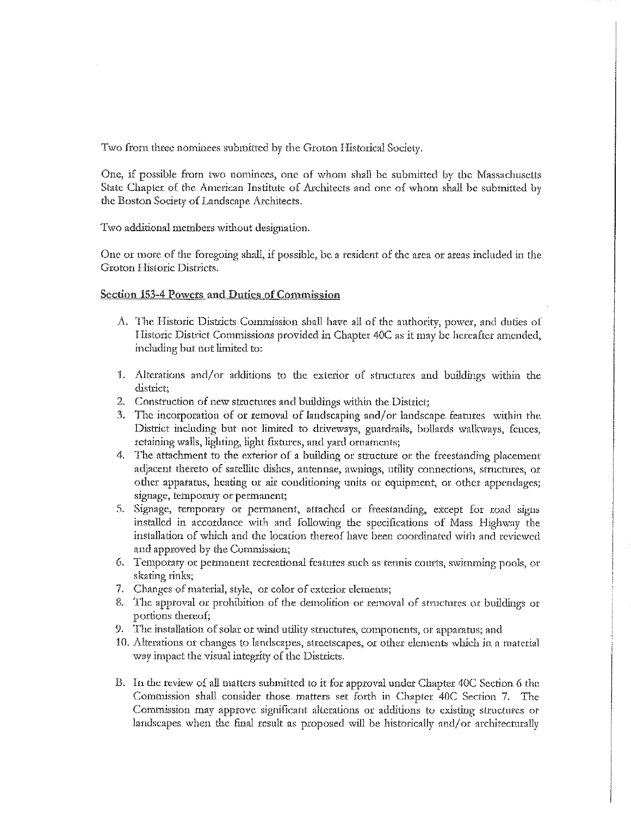Two from three nominees submitted by the Groton Historical Society.

One, if possible from two nominees, one of whom shall be submitted by the Massachusetts State Chapter of the American Institute of Architects and one of whom shall be submitted by the Boston Society of Landscape Architects.

Two additional members without designation.

One or more of the foregoing shall, if possible, be a resident of the area or areas included in the Groton Historic Districts.

# **Section 153-4 Powers and Duties of Commission**

- A. The Historic Districts Commission shall have all of the authority, power, and duties of Historic District Commissions provided in Chapter 40C as it may be hereafter amended, including but not limited to:
- 1. Alterations and/or additions to the exterior of structures and buildings within the district:
- 2. Construction of new structures and buildings within the District;
- 3. The incorporation of or removal of landscaping and/or landscape features within the District including but not limited to driveways, guardrails, bollards walkways, fences, retaining walls, lighting, light fixtures, and yard ornaments;
- The attachment to the exterior of a building or structure or the freestanding placement 4. adjacent thereto of satellite dishes, antennae, awnings, utility connections, structures, or other apparatus, heating or air conditioning units or equipment, or other appendages; signage, temporary or permanent;
- 5. Signage, temporary or permanent, attached or freestanding, except for road signs installed in accordance with and following the specifications of Mass Highway the installation of which and the location thereof have been coordinated with and reviewed and approved by the Commission;
- 6. Temporary or permanent recreational features such as tennis courts, swimming pools, or skating rinks;
- 7. Changes of material, style, or color of exterior elements;
- 8. The approval or prohibition of the demolition or removal of structures or buildings or portions thereof;
- 9. The installation of solar or wind utility structures, components, or apparatus; and
- 10. Alterations or changes to landscapes, streetscapes, or other elements which in a material way impact the visual integrity of the Districts.
- B. In the review of all matters submitted to it for approval under Chapter 40C Section 6 the Commission shall consider those matters set forth in Chapter 40C Section 7. The Commission may approve significant alterations or additions to existing structures or landscapes when the final result as proposed will be historically and/or architecturally